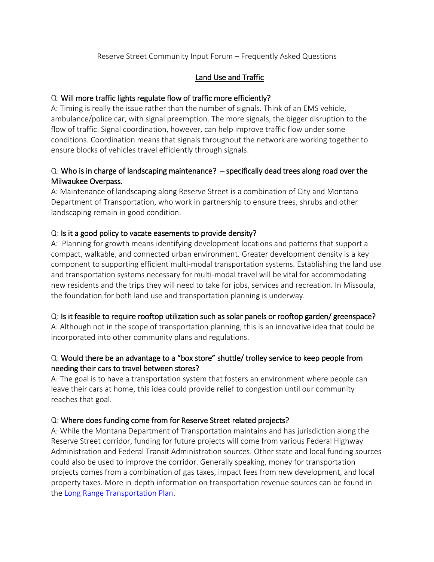#### Reserve Street Community Input Forum – Frequently Asked Questions

### Land Use and Traffic

#### Q: Will more traffic lights regulate flow of traffic more efficiently?

A: Timing is really the issue rather than the number of signals. Think of an EMS vehicle, ambulance/police car, with signal preemption. The more signals, the bigger disruption to the flow of traffic. Signal coordination, however, can help improve traffic flow under some conditions. Coordination means that signals throughout the network are working together to ensure blocks of vehicles travel efficiently through signals.

### Q: Who is in charge of landscaping maintenance? – specifically dead trees along road over the Milwaukee Overpass.

A: Maintenance of landscaping along Reserve Street is a combination of City and Montana Department of Transportation, who work in partnership to ensure trees, shrubs and other landscaping remain in good condition.

#### Q: Is it a good policy to vacate easements to provide density?

A: Planning for growth means identifying development locations and patterns that support a compact, walkable, and connected urban environment. Greater development density is a key component to supporting efficient multi-modal transportation systems. Establishing the land use and transportation systems necessary for multi-modal travel will be vital for accommodating new residents and the trips they will need to take for jobs, services and recreation. In Missoula, the foundation for both land use and transportation planning is underway.

#### Q: Is it feasible to require rooftop utilization such as solar panels or rooftop garden/ greenspace?

A: Although not in the scope of transportation planning, this is an innovative idea that could be incorporated into other community plans and regulations.

### Q: Would there be an advantage to a "box store" shuttle/ trolley service to keep people from needing their cars to travel between stores?

A: The goal is to have a transportation system that fosters an environment where people can leave their cars at home, this idea could provide relief to congestion until our community reaches that goal.

# Q: Where does funding come from for Reserve Street related projects?

A: While the Montana Department of Transportation maintains and has jurisdiction along the Reserve Street corridor, funding for future projects will come from various Federal Highway Administration and Federal Transit Administration sources. Other state and local funding sources could also be used to improve the corridor. Generally speaking, money for transportation projects comes from a combination of gas taxes, impact fees from new development, and local property taxes. More in-depth information on transportation revenue sources can be found in the [Long Range Transportation Plan.](https://www.ci.missoula.mt.us/DocumentCenter/View/50255/2016_LRTP_FINAL)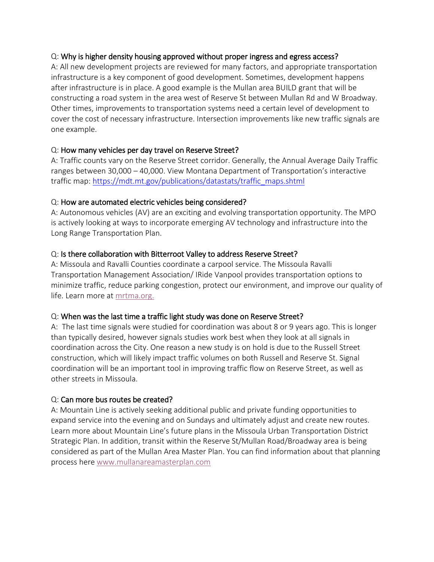#### Q: Why is higher density housing approved without proper ingress and egress access?

A: All new development projects are reviewed for many factors, and appropriate transportation infrastructure is a key component of good development. Sometimes, development happens after infrastructure is in place. A good example is the Mullan area BUILD grant that will be constructing a road system in the area west of Reserve St between Mullan Rd and W Broadway. Other times, improvements to transportation systems need a certain level of development to cover the cost of necessary infrastructure. Intersection improvements like new traffic signals are one example.

#### Q: How many vehicles per day travel on Reserve Street?

A: Traffic counts vary on the Reserve Street corridor. Generally, the Annual Average Daily Traffic ranges between 30,000 – 40,000. View Montana Department of Transportation's interactive traffic map: [https://mdt.mt.gov/publications/datastats/traffic\\_maps.shtml](https://mdt.mt.gov/publications/datastats/traffic_maps.shtml)

#### Q: How are automated electric vehicles being considered?

A: Autonomous vehicles (AV) are an exciting and evolving transportation opportunity. The MPO is actively looking at ways to incorporate emerging AV technology and infrastructure into the Long Range Transportation Plan.

#### Q: Is there collaboration with Bitterroot Valley to address Reserve Street?

A: Missoula and Ravalli Counties coordinate a carpool service. The Missoula Ravalli Transportation Management Association/ IRide Vanpool provides transportation options to minimize traffic, reduce parking congestion, protect our environment, and improve our quality of life. Learn more at [mrtma.org.](http://www.mrtma.org/)

#### Q: When was the last time a traffic light study was done on Reserve Street?

A: The last time signals were studied for coordination was about 8 or 9 years ago. This is longer than typically desired, however signals studies work best when they look at all signals in coordination across the City. One reason a new study is on hold is due to the Russell Street construction, which will likely impact traffic volumes on both Russell and Reserve St. Signal coordination will be an important tool in improving traffic flow on Reserve Street, as well as other streets in Missoula.

#### Q: Can more bus routes be created?

A: Mountain Line is actively seeking additional public and private funding opportunities to expand service into the evening and on Sundays and ultimately adjust and create new routes. Learn more about Mountain Line's future plans in the Missoula Urban Transportation District Strategic Plan. In addition, transit within the Reserve St/Mullan Road/Broadway area is being considered as part of the Mullan Area Master Plan. You can find information about that planning process here [www.mullanareamasterplan.com](http://www.mullanareamasterplan.com/)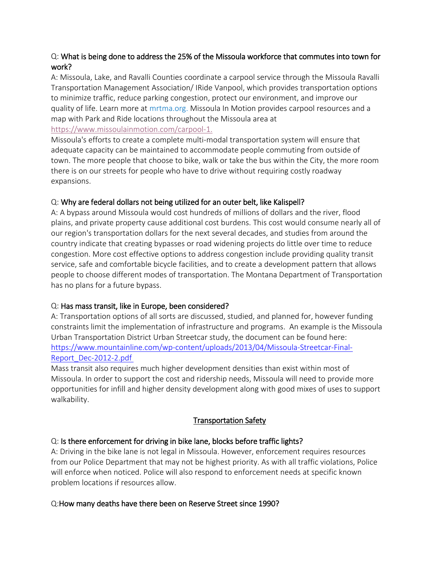# Q: What is being done to address the 25% of the Missoula workforce that commutes into town for work?

A: Missoula, Lake, and Ravalli Counties coordinate a carpool service through the Missoula Ravalli Transportation Management Association/ IRide Vanpool, which provides transportation options to minimize traffic, reduce parking congestion, protect our environment, and improve our quality of life. Learn more at mrtma.org. Missoula In Motion provides carpool resources and a map with Park and Ride locations throughout the Missoula area at [https://www.missoulainmotion.com/carpool-1.](https://www.missoulainmotion.com/carpool-1)

Missoula's efforts to create a complete multi-modal transportation system will ensure that adequate capacity can be maintained to accommodate people commuting from outside of town. The more people that choose to bike, walk or take the bus within the City, the more room there is on our streets for people who have to drive without requiring costly roadway expansions.

# Q: Why are federal dollars not being utilized for an outer belt, like Kalispell?

A: A bypass around Missoula would cost hundreds of millions of dollars and the river, flood plains, and private property cause additional cost burdens. This cost would consume nearly all of our region's transportation dollars for the next several decades, and studies from around the country indicate that creating bypasses or road widening projects do little over time to reduce congestion. More cost effective options to address congestion include providing quality transit service, safe and comfortable bicycle facilities, and to create a development pattern that allows people to choose different modes of transportation. The Montana Department of Transportation has no plans for a future bypass.

# Q: Has mass transit, like in Europe, been considered?

A: Transportation options of all sorts are discussed, studied, and planned for, however funding constraints limit the implementation of infrastructure and programs. An example is the Missoula Urban Transportation District Urban Streetcar study, the document can be found here: [https://www.mountainline.com/wp-content/uploads/2013/04/Missoula-Streetcar-Final-](https://www.mountainline.com/wp-content/uploads/2013/04/Missoula-Streetcar-Final-Report_Dec-2012-2.pdf)[Report\\_Dec-2012-2.pdf](https://www.mountainline.com/wp-content/uploads/2013/04/Missoula-Streetcar-Final-Report_Dec-2012-2.pdf)

Mass transit also requires much higher development densities than exist within most of Missoula. In order to support the cost and ridership needs, Missoula will need to provide more opportunities for infill and higher density development along with good mixes of uses to support walkability.

# Transportation Safety

# Q: Is there enforcement for driving in bike lane, blocks before traffic lights?

A: Driving in the bike lane is not legal in Missoula. However, enforcement requires resources from our Police Department that may not be highest priority. As with all traffic violations, Police will enforce when noticed. Police will also respond to enforcement needs at specific known problem locations if resources allow.

# Q:How many deaths have there been on Reserve Street since 1990?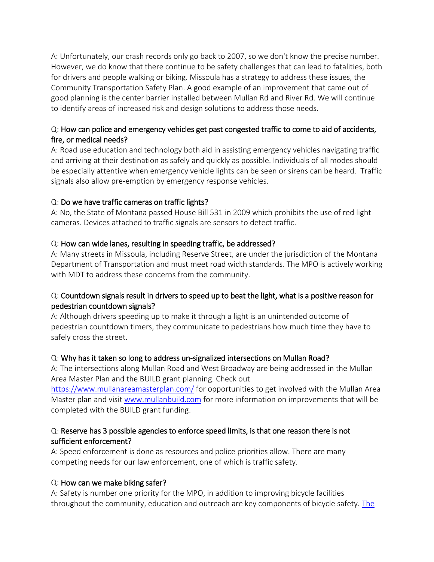A: Unfortunately, our crash records only go back to 2007, so we don't know the precise number. However, we do know that there continue to be safety challenges that can lead to fatalities, both for drivers and people walking or biking. Missoula has a strategy to address these issues, the Community Transportation Safety Plan. A good example of an improvement that came out of good planning is the center barrier installed between Mullan Rd and River Rd. We will continue to identify areas of increased risk and design solutions to address those needs.

# Q: How can police and emergency vehicles get past congested traffic to come to aid of accidents, fire, or medical needs?

A: Road use education and technology both aid in assisting emergency vehicles navigating traffic and arriving at their destination as safely and quickly as possible. Individuals of all modes should be especially attentive when emergency vehicle lights can be seen or sirens can be heard. Traffic signals also allow pre-emption by emergency response vehicles.

# Q: Do we have traffic cameras on traffic lights?

A: No, the State of Montana passed House Bill 531 in 2009 which prohibits the use of red light cameras. Devices attached to traffic signals are sensors to detect traffic.

# Q: How can wide lanes, resulting in speeding traffic, be addressed?

A: Many streets in Missoula, including Reserve Street, are under the jurisdiction of the Montana Department of Transportation and must meet road width standards. The MPO is actively working with MDT to address these concerns from the community.

# Q: Countdown signals result in drivers to speed up to beat the light, what is a positive reason for pedestrian countdown signals?

A: Although drivers speeding up to make it through a light is an unintended outcome of pedestrian countdown timers, they communicate to pedestrians how much time they have to safely cross the street.

# Q: Why has it taken so long to address un-signalized intersections on Mullan Road?

A: The intersections along Mullan Road and West Broadway are being addressed in the Mullan Area Master Plan and the BUILD grant planning. Check out

<https://www.mullanareamasterplan.com/> for opportunities to get involved with the Mullan Area Master plan and visit [www.mullanbuild.com](http://www.mullanbuild.com/) for more information on improvements that will be completed with the BUILD grant funding.

### Q: Reserve has 3 possible agencies to enforce speed limits, is that one reason there is not sufficient enforcement?

A: Speed enforcement is done as resources and police priorities allow. There are many competing needs for our law enforcement, one of which is traffic safety.

#### Q: How can we make biking safer?

A: Safety is number one priority for the MPO, in addition to improving bicycle facilities throughout the community, education and outreach are key components of bicycle safety. [The](https://www.ci.missoula.mt.us/DocumentCenter/View/49937/2019_CTSP_FINAL)